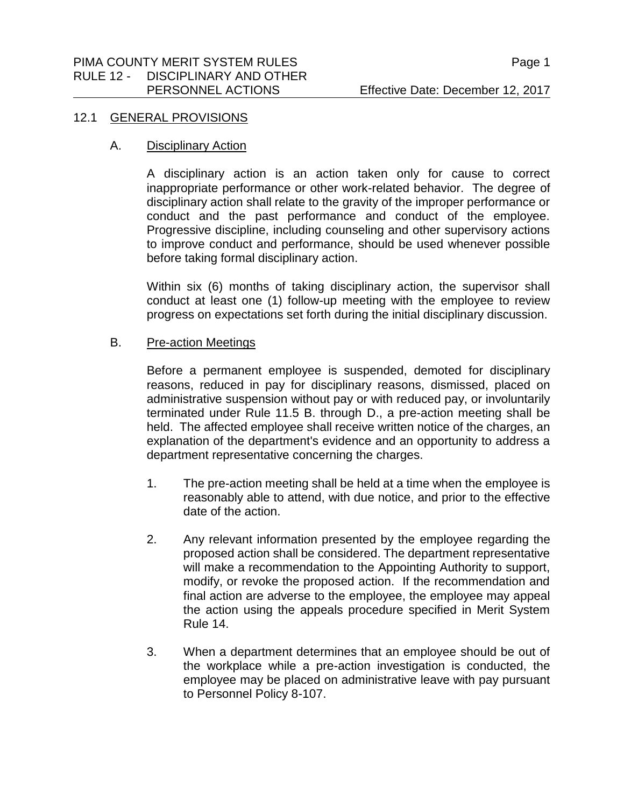#### 12.1 GENERAL PROVISIONS

### A. Disciplinary Action

A disciplinary action is an action taken only for cause to correct inappropriate performance or other work-related behavior. The degree of disciplinary action shall relate to the gravity of the improper performance or conduct and the past performance and conduct of the employee. Progressive discipline, including counseling and other supervisory actions to improve conduct and performance, should be used whenever possible before taking formal disciplinary action.

Within six (6) months of taking disciplinary action, the supervisor shall conduct at least one (1) follow-up meeting with the employee to review progress on expectations set forth during the initial disciplinary discussion.

## B. Pre-action Meetings

Before a permanent employee is suspended, demoted for disciplinary reasons, reduced in pay for disciplinary reasons, dismissed, placed on administrative suspension without pay or with reduced pay, or involuntarily terminated under Rule 11.5 B. through D., a pre-action meeting shall be held. The affected employee shall receive written notice of the charges, an explanation of the department's evidence and an opportunity to address a department representative concerning the charges.

- 1. The pre-action meeting shall be held at a time when the employee is reasonably able to attend, with due notice, and prior to the effective date of the action.
- 2. Any relevant information presented by the employee regarding the proposed action shall be considered. The department representative will make a recommendation to the Appointing Authority to support, modify, or revoke the proposed action. If the recommendation and final action are adverse to the employee, the employee may appeal the action using the appeals procedure specified in Merit System Rule 14.
- 3. When a department determines that an employee should be out of the workplace while a pre-action investigation is conducted, the employee may be placed on administrative leave with pay pursuant to Personnel Policy 8-107.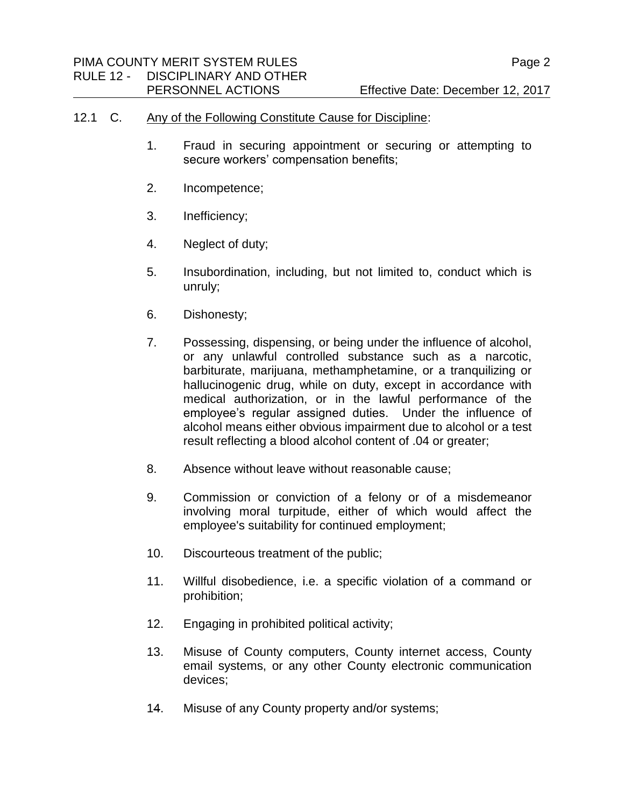#### 12.1 C. Any of the Following Constitute Cause for Discipline:

- 1. Fraud in securing appointment or securing or attempting to secure workers' compensation benefits;
- 2. Incompetence;
- 3. Inefficiency;
- 4. Neglect of duty;
- 5. Insubordination, including, but not limited to, conduct which is unruly;
- 6. Dishonesty;
- 7. Possessing, dispensing, or being under the influence of alcohol, or any unlawful controlled substance such as a narcotic, barbiturate, marijuana, methamphetamine, or a tranquilizing or hallucinogenic drug, while on duty, except in accordance with medical authorization, or in the lawful performance of the employee's regular assigned duties. Under the influence of alcohol means either obvious impairment due to alcohol or a test result reflecting a blood alcohol content of .04 or greater;
- 8. Absence without leave without reasonable cause;
- 9. Commission or conviction of a felony or of a misdemeanor involving moral turpitude, either of which would affect the employee's suitability for continued employment;
- 10. Discourteous treatment of the public;
- 11. Willful disobedience, i.e. a specific violation of a command or prohibition;
- 12. Engaging in prohibited political activity;
- 13. Misuse of County computers, County internet access, County email systems, or any other County electronic communication devices;
- 14. Misuse of any County property and/or systems;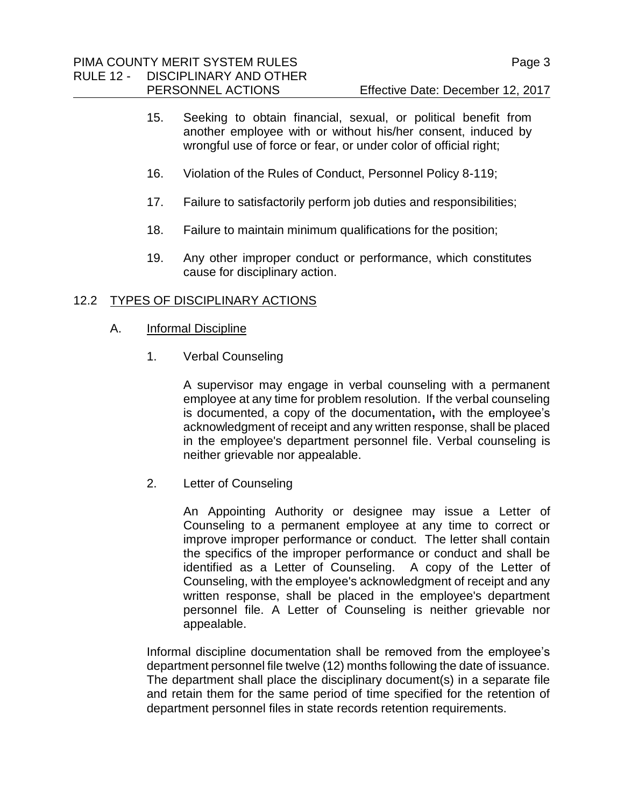PERSONNEL ACTIONS Effective Date: December 12, 2017

- 15. Seeking to obtain financial, sexual, or political benefit from another employee with or without his/her consent, induced by wrongful use of force or fear, or under color of official right;
- 16. Violation of the Rules of Conduct, Personnel Policy 8-119;
- 17. Failure to satisfactorily perform job duties and responsibilities;
- 18. Failure to maintain minimum qualifications for the position;
- 19. Any other improper conduct or performance, which constitutes cause for disciplinary action.

## 12.2 TYPES OF DISCIPLINARY ACTIONS

- A. Informal Discipline
	- 1. Verbal Counseling

A supervisor may engage in verbal counseling with a permanent employee at any time for problem resolution. If the verbal counseling is documented, a copy of the documentation**,** with the employee's acknowledgment of receipt and any written response, shall be placed in the employee's department personnel file. Verbal counseling is neither grievable nor appealable.

2. Letter of Counseling

An Appointing Authority or designee may issue a Letter of Counseling to a permanent employee at any time to correct or improve improper performance or conduct. The letter shall contain the specifics of the improper performance or conduct and shall be identified as a Letter of Counseling. A copy of the Letter of Counseling, with the employee's acknowledgment of receipt and any written response, shall be placed in the employee's department personnel file. A Letter of Counseling is neither grievable nor appealable.

Informal discipline documentation shall be removed from the employee's department personnel file twelve (12) months following the date of issuance. The department shall place the disciplinary document(s) in a separate file and retain them for the same period of time specified for the retention of department personnel files in state records retention requirements.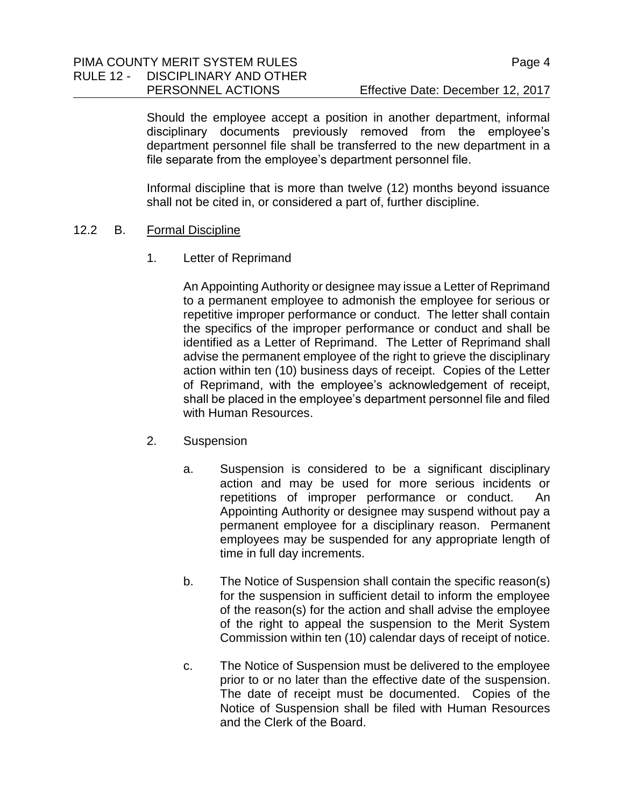PERSONNEL ACTIONS Effective Date: December 12, 2017

Should the employee accept a position in another department, informal disciplinary documents previously removed from the employee's department personnel file shall be transferred to the new department in a file separate from the employee's department personnel file.

Informal discipline that is more than twelve (12) months beyond issuance shall not be cited in, or considered a part of, further discipline.

#### 12.2 B. Formal Discipline

1. Letter of Reprimand

An Appointing Authority or designee may issue a Letter of Reprimand to a permanent employee to admonish the employee for serious or repetitive improper performance or conduct. The letter shall contain the specifics of the improper performance or conduct and shall be identified as a Letter of Reprimand. The Letter of Reprimand shall advise the permanent employee of the right to grieve the disciplinary action within ten (10) business days of receipt. Copies of the Letter of Reprimand, with the employee's acknowledgement of receipt, shall be placed in the employee's department personnel file and filed with Human Resources.

- 2. Suspension
	- a. Suspension is considered to be a significant disciplinary action and may be used for more serious incidents or repetitions of improper performance or conduct. An Appointing Authority or designee may suspend without pay a permanent employee for a disciplinary reason. Permanent employees may be suspended for any appropriate length of time in full day increments.
	- b. The Notice of Suspension shall contain the specific reason(s) for the suspension in sufficient detail to inform the employee of the reason(s) for the action and shall advise the employee of the right to appeal the suspension to the Merit System Commission within ten (10) calendar days of receipt of notice.
	- c. The Notice of Suspension must be delivered to the employee prior to or no later than the effective date of the suspension. The date of receipt must be documented. Copies of the Notice of Suspension shall be filed with Human Resources and the Clerk of the Board.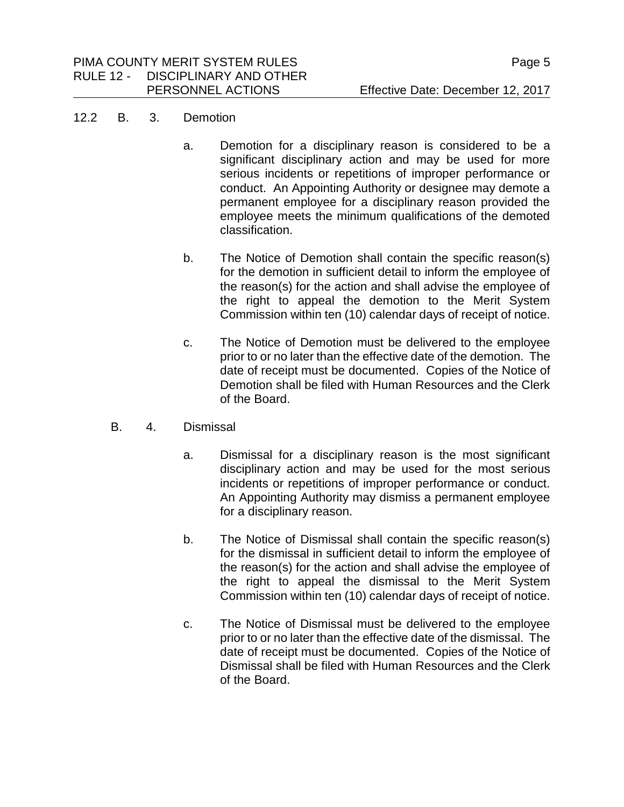#### 12.2 B. 3. Demotion

- a. Demotion for a disciplinary reason is considered to be a significant disciplinary action and may be used for more serious incidents or repetitions of improper performance or conduct. An Appointing Authority or designee may demote a permanent employee for a disciplinary reason provided the employee meets the minimum qualifications of the demoted classification.
- b. The Notice of Demotion shall contain the specific reason(s) for the demotion in sufficient detail to inform the employee of the reason(s) for the action and shall advise the employee of the right to appeal the demotion to the Merit System Commission within ten (10) calendar days of receipt of notice.
- c. The Notice of Demotion must be delivered to the employee prior to or no later than the effective date of the demotion. The date of receipt must be documented. Copies of the Notice of Demotion shall be filed with Human Resources and the Clerk of the Board.
- B. 4. Dismissal
	- a. Dismissal for a disciplinary reason is the most significant disciplinary action and may be used for the most serious incidents or repetitions of improper performance or conduct. An Appointing Authority may dismiss a permanent employee for a disciplinary reason.
	- b. The Notice of Dismissal shall contain the specific reason(s) for the dismissal in sufficient detail to inform the employee of the reason(s) for the action and shall advise the employee of the right to appeal the dismissal to the Merit System Commission within ten (10) calendar days of receipt of notice.
	- c. The Notice of Dismissal must be delivered to the employee prior to or no later than the effective date of the dismissal. The date of receipt must be documented. Copies of the Notice of Dismissal shall be filed with Human Resources and the Clerk of the Board.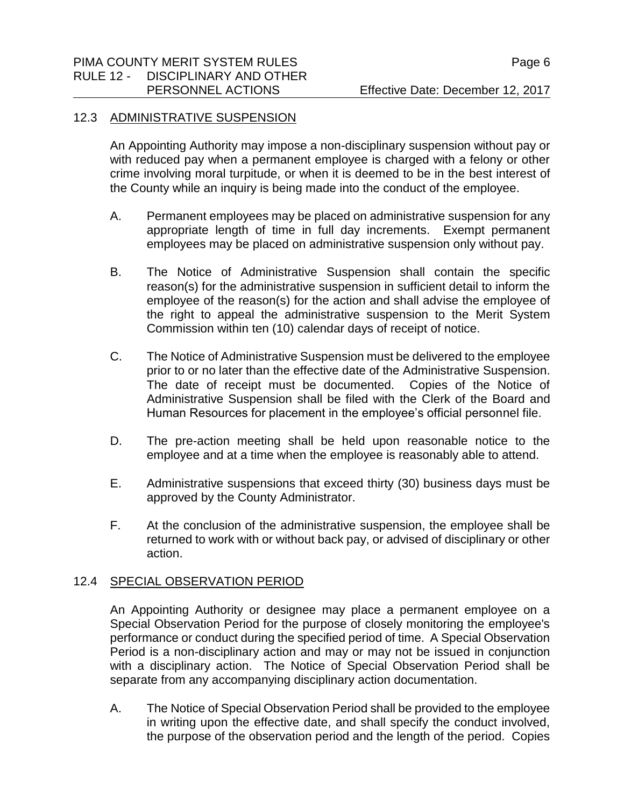# PIMA COUNTY MERIT SYSTEM RULES PIMA COUNTY MERIT SYSTEM RULES RULE 12 - DISCIPLINARY AND OTHER

## 12.3 ADMINISTRATIVE SUSPENSION

An Appointing Authority may impose a non-disciplinary suspension without pay or with reduced pay when a permanent employee is charged with a felony or other crime involving moral turpitude, or when it is deemed to be in the best interest of the County while an inquiry is being made into the conduct of the employee.

- A. Permanent employees may be placed on administrative suspension for any appropriate length of time in full day increments. Exempt permanent employees may be placed on administrative suspension only without pay.
- B. The Notice of Administrative Suspension shall contain the specific reason(s) for the administrative suspension in sufficient detail to inform the employee of the reason(s) for the action and shall advise the employee of the right to appeal the administrative suspension to the Merit System Commission within ten (10) calendar days of receipt of notice.
- C. The Notice of Administrative Suspension must be delivered to the employee prior to or no later than the effective date of the Administrative Suspension. The date of receipt must be documented. Copies of the Notice of Administrative Suspension shall be filed with the Clerk of the Board and Human Resources for placement in the employee's official personnel file.
- D. The pre-action meeting shall be held upon reasonable notice to the employee and at a time when the employee is reasonably able to attend.
- E. Administrative suspensions that exceed thirty (30) business days must be approved by the County Administrator.
- F. At the conclusion of the administrative suspension, the employee shall be returned to work with or without back pay, or advised of disciplinary or other action.

# 12.4 SPECIAL OBSERVATION PERIOD

An Appointing Authority or designee may place a permanent employee on a Special Observation Period for the purpose of closely monitoring the employee's performance or conduct during the specified period of time. A Special Observation Period is a non-disciplinary action and may or may not be issued in conjunction with a disciplinary action. The Notice of Special Observation Period shall be separate from any accompanying disciplinary action documentation.

A. The Notice of Special Observation Period shall be provided to the employee in writing upon the effective date, and shall specify the conduct involved, the purpose of the observation period and the length of the period. Copies